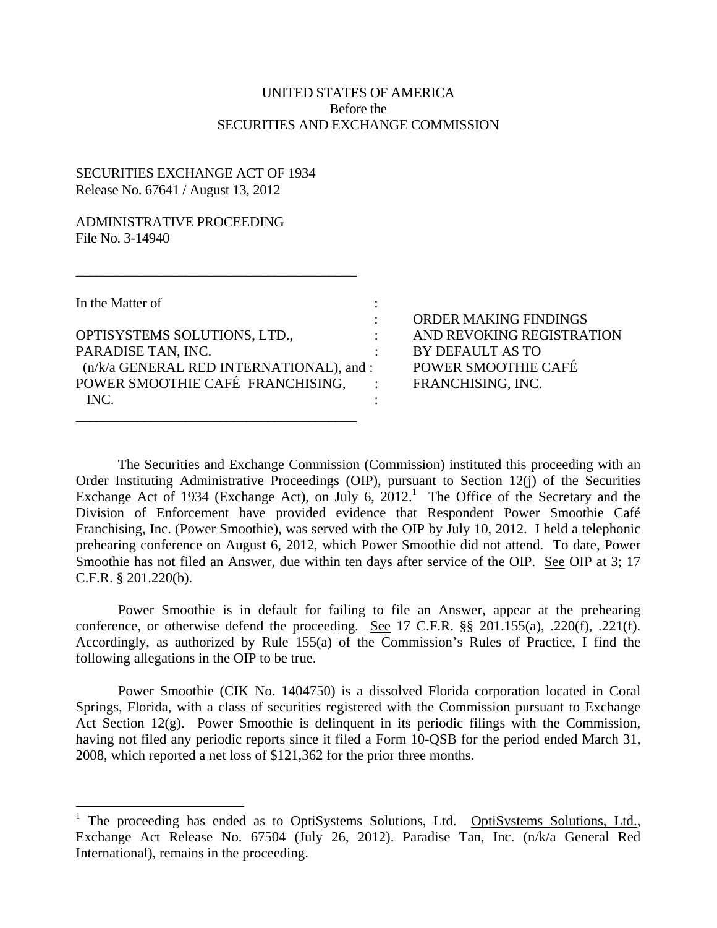## UNITED STATES OF AMERICA Before the SECURITIES AND EXCHANGE COMMISSION

## SECURITIES EXCHANGE ACT OF 1934 Release No. 67641 / August 13, 2012

## ADMINISTRATIVE PROCEEDING File No. 3-14940

In the Matter of  $\cdot$ 

 $\overline{a}$ 

PARADISE TAN, INC. OPTISYSTEMS SOLUTIONS, LTD.,  $\qquad \qquad$  : AND REVOKING REGISTRATION (n/k/a GENERAL RED INTERNATIONAL), and : POWER SMOOTHIE CAFÉ FRANCHISING. : INC.  $\qquad \qquad :$ \_\_\_\_\_\_\_\_\_\_\_\_\_\_\_\_\_\_\_\_\_\_\_\_\_\_\_\_\_\_\_\_\_\_\_\_\_\_\_\_\_

\_\_\_\_\_\_\_\_\_\_\_\_\_\_\_\_\_\_\_\_\_\_\_\_\_\_\_\_\_\_\_\_\_\_\_\_\_\_\_\_\_

: ORDER MAKING FINDINGS BY DEFAULT AS TO POWER SMOOTHIE CAFÉ FRANCHISING, INC.

The Securities and Exchange Commission (Commission) instituted this proceeding with an Order Instituting Administrative Proceedings (OIP), pursuant to Section 12(j) of the Securities Exchange Act of 1934 (Exchange Act), on July 6,  $2012<sup>1</sup>$  The Office of the Secretary and the Division of Enforcement have provided evidence that Respondent Power Smoothie Café Franchising, Inc. (Power Smoothie), was served with the OIP by July 10, 2012. I held a telephonic prehearing conference on August 6, 2012, which Power Smoothie did not attend. To date, Power Smoothie has not filed an Answer, due within ten days after service of the OIP. See OIP at 3; 17 C.F.R. § 201.220(b).

Power Smoothie is in default for failing to file an Answer, appear at the prehearing conference, or otherwise defend the proceeding. See 17 C.F.R. §§ 201.155(a), .220(f), .221(f). Accordingly, as authorized by Rule 155(a) of the Commission's Rules of Practice, I find the following allegations in the OIP to be true.

Power Smoothie (CIK No. 1404750) is a dissolved Florida corporation located in Coral Springs, Florida, with a class of securities registered with the Commission pursuant to Exchange Act Section 12(g). Power Smoothie is delinquent in its periodic filings with the Commission, having not filed any periodic reports since it filed a Form 10-QSB for the period ended March 31, 2008, which reported a net loss of \$121,362 for the prior three months.

<sup>1</sup> The proceeding has ended as to OptiSystems Solutions, Ltd. OptiSystems Solutions, Ltd., Exchange Act Release No. 67504 (July 26, 2012). Paradise Tan, Inc. (n/k/a General Red International), remains in the proceeding.